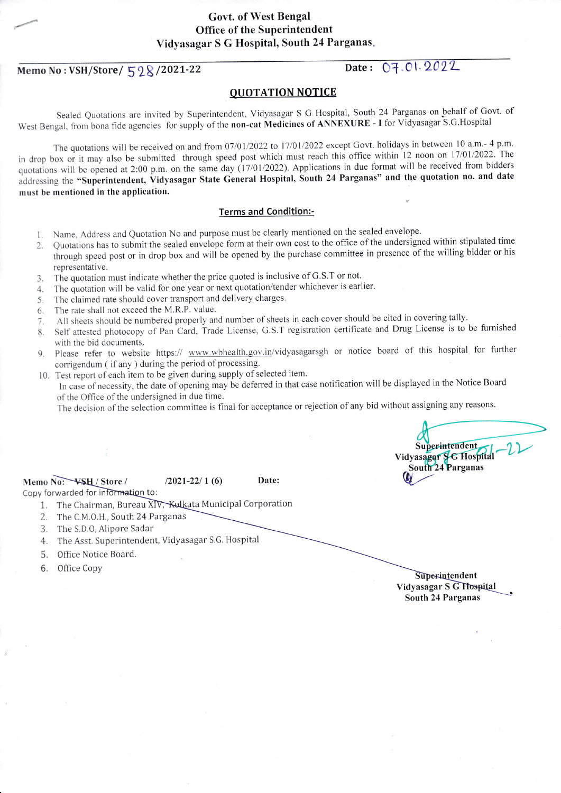# **Govt. of West Bengal**

**Office of the Superintendent** Vidyasagar S G Hospital, South 24 Parganas.

Memo No: VSH/Store/ 528/2021-22

### Date: 07.01.2022

#### **OUOTATION NOTICE**

Sealed Quotations are invited by Superintendent, Vidyasagar S G Hospital, South 24 Parganas on behalf of Govt. of West Bengal, from bona fide agencies for supply of the non-cat Medicines of ANNEXURE - I for Vidyasagar S.G.Hospital

The quotations will be received on and from 07/01/2022 to 17/01/2022 except Govt. holidays in between 10 a.m.- 4 p.m. in drop box or it may also be submitted through speed post which must reach this office within 12 noon on 17/01/2022. The quotations will be opened at 2:00 p.m. on the same day (17/01/2022). Applications in due format will be received from bidders addressing the "Superintendent, Vidyasagar State General Hospital, South 24 Parganas" and the quotation no. and date must be mentioned in the application.

#### **Terms and Condition:-**

- 1. Name, Address and Quotation No and purpose must be clearly mentioned on the sealed envelope.
- Quotations has to submit the sealed envelope form at their own cost to the office of the undersigned within stipulated time  $2.$ through speed post or in drop box and will be opened by the purchase committee in presence of the willing bidder or his representative.
- The quotation must indicate whether the price quoted is inclusive of G.S.T or not.  $3.$
- The quotation will be valid for one year or next quotation/tender whichever is earlier.  $\overline{4}$
- The claimed rate should cover transport and delivery charges. 5.
- The rate shall not exceed the M.R.P. value. 6.
- All sheets should be numbered properly and number of sheets in each cover should be cited in covering tally.  $7.$
- Self attested photocopy of Pan Card, Trade License, G.S.T registration certificate and Drug License is to be furnished 8. with the bid documents.
- 9. Please refer to website https:// www.wbhealth.gov.in/vidyasagarsgh or notice board of this hospital for further corrigendum (if any) during the period of processing.
- 10. Test report of each item to be given during supply of selected item.
	- In case of necessity, the date of opening may be deferred in that case notification will be displayed in the Notice Board of the Office of the undersigned in due time.

The decision of the selection committee is final for acceptance or rejection of any bid without assigning any reasons.

Memo No: VSH / Store /

Date:

Copy forwarded for information to:

1. The Chairman, Bureau XIV, Kolkata Municipal Corporation

 $/2021 - 22/1(6)$ 

- 2. The C.M.O.H., South 24 Parganas
- 3. The S.D.O, Alipore Sadar
- 4. The Asst. Superintendent, Vidyasagar S.G. Hospital
- 5. Office Notice Board.
- 6. Office Copy

Superintendent Vidyasagar S G Hospital South 24 Parganas

Superintendent Vidyasagar SG Hospital South 24 Parganas